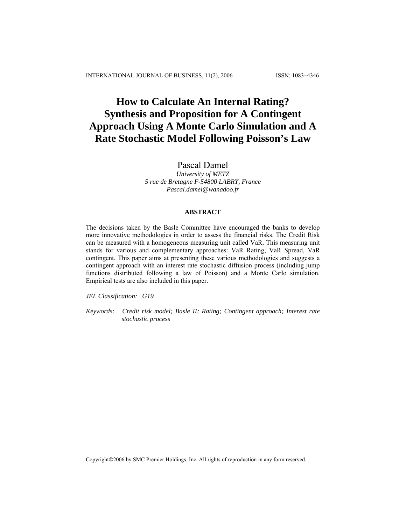# **How to Calculate An Internal Rating? Synthesis and Proposition for A Contingent Approach Using A Monte Carlo Simulation and A Rate Stochastic Model Following Poisson's Law**

# Pascal Damel

*University of METZ 5 rue de Bretagne F-54800 LABRY, France Pascal.damel@wanadoo.fr*

## **ABSTRACT**

The decisions taken by the Basle Committee have encouraged the banks to develop more innovative methodologies in order to assess the financial risks. The Credit Risk can be measured with a homogeneous measuring unit called VaR. This measuring unit stands for various and complementary approaches: VaR Rating, VaR Spread, VaR contingent. This paper aims at presenting these various methodologies and suggests a contingent approach with an interest rate stochastic diffusion process (including jump functions distributed following a law of Poisson) and a Monte Carlo simulation. Empirical tests are also included in this paper.

*JEL Classification: G19*

*Keywords: Credit risk model; Basle II; Rating; Contingent approach; Interest rate stochastic process* 

Copyright©2006 by SMC Premier Holdings, Inc. All rights of reproduction in any form reserved.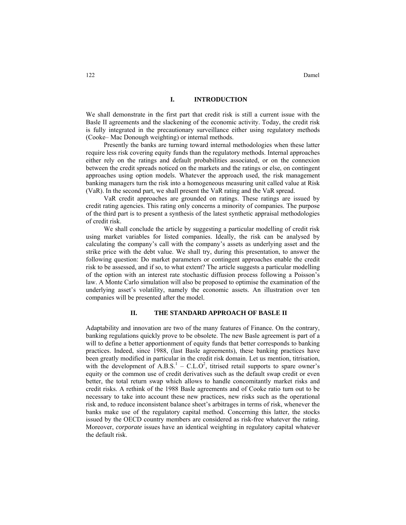#### **I. INTRODUCTION**

We shall demonstrate in the first part that credit risk is still a current issue with the Basle II agreements and the slackening of the economic activity. Today, the credit risk is fully integrated in the precautionary surveillance either using regulatory methods (Cooke– Mac Donough weighting) or internal methods.

Presently the banks are turning toward internal methodologies when these latter require less risk covering equity funds than the regulatory methods. Internal approaches either rely on the ratings and default probabilities associated, or on the connexion between the credit spreads noticed on the markets and the ratings or else, on contingent approaches using option models. Whatever the approach used, the risk management banking managers turn the risk into a homogeneous measuring unit called value at Risk (VaR). In the second part, we shall present the VaR rating and the VaR spread.

VaR credit approaches are grounded on ratings. These ratings are issued by credit rating agencies. This rating only concerns a minority of companies. The purpose of the third part is to present a synthesis of the latest synthetic appraisal methodologies of credit risk.

We shall conclude the article by suggesting a particular modelling of credit risk using market variables for listed companies. Ideally, the risk can be analysed by calculating the company's call with the company's assets as underlying asset and the strike price with the debt value. We shall try, during this presentation, to answer the following question: Do market parameters or contingent approaches enable the credit risk to be assessed, and if so, to what extent? The article suggests a particular modelling of the option with an interest rate stochastic diffusion process following a Poisson's law. A Monte Carlo simulation will also be proposed to optimise the examination of the underlying asset's volatility, namely the economic assets. An illustration over ten companies will be presented after the model.

#### **II. THE STANDARD APPROACH OF BASLE II**

Adaptability and innovation are two of the many features of Finance. On the contrary, banking regulations quickly prove to be obsolete. The new Basle agreement is part of a will to define a better apportionment of equity funds that better corresponds to banking practices. Indeed, since 1988, (last Basle agreements), these banking practices have been greatly modified in particular in the credit risk domain. Let us mention, titrisation, with the development of  $A.B.S.<sup>1</sup> - C.L.O<sup>2</sup>$ , titrised retail supports to spare owner's equity or the common use of credit derivatives such as the default swap credit or even better, the total return swap which allows to handle concomitantly market risks and credit risks. A rethink of the 1988 Basle agreements and of Cooke ratio turn out to be necessary to take into account these new practices, new risks such as the operational risk and, to reduce inconsistent balance sheet's arbitrages in terms of risk, whenever the banks make use of the regulatory capital method. Concerning this latter, the stocks issued by the OECD country members are considered as risk-free whatever the rating. Moreover, *corporate* issues have an identical weighting in regulatory capital whatever the default risk.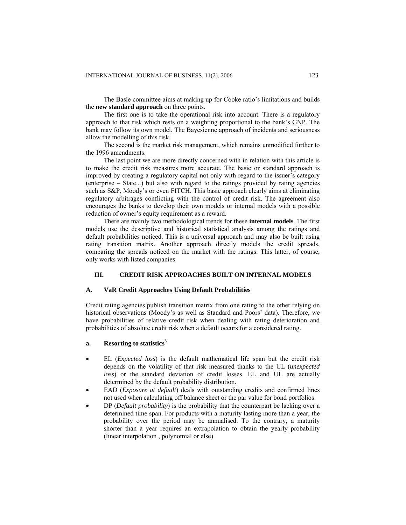The Basle committee aims at making up for Cooke ratio's limitations and builds the **new standard approach** on three points.

The first one is to take the operational risk into account. There is a regulatory approach to that risk which rests on a weighting proportional to the bank's GNP. The bank may follow its own model. The Bayesienne approach of incidents and seriousness allow the modelling of this risk.

The second is the market risk management, which remains unmodified further to the 1996 amendments.

The last point we are more directly concerned with in relation with this article is to make the credit risk measures more accurate. The basic or standard approach is improved by creating a regulatory capital not only with regard to the issuer's category (enterprise – State...) but also with regard to the ratings provided by rating agencies such as S&P, Moody's or even FITCH. This basic approach clearly aims at eliminating regulatory arbitrages conflicting with the control of credit risk. The agreement also encourages the banks to develop their own models or internal models with a possible reduction of owner's equity requirement as a reward.

There are mainly two methodological trends for these **internal models**. The first models use the descriptive and historical statistical analysis among the ratings and default probabilities noticed. This is a universal approach and may also be built using rating transition matrix. Another approach directly models the credit spreads, comparing the spreads noticed on the market with the ratings. This latter, of course, only works with listed companies

#### **III. CREDIT RISK APPROACHES BUILT ON INTERNAL MODELS**

#### **A. VaR Credit Approaches Using Default Probabilities**

Credit rating agencies publish transition matrix from one rating to the other relying on historical observations (Moody's as well as Standard and Poors' data). Therefore, we have probabilities of relative credit risk when dealing with rating deterioration and probabilities of absolute credit risk when a default occurs for a considered rating.

## **a.** Resorting to statistics<sup>3</sup>

- EL (*Expected loss*) is the default mathematical life span but the credit risk depends on the volatility of that risk measured thanks to the UL (*unexpected loss*) or the standard deviation of credit losses. EL and UL are actually determined by the default probability distribution.
- EAD (*Exposure at default*) deals with outstanding credits and confirmed lines not used when calculating off balance sheet or the par value for bond portfolios.
- DP (*Default probability*) is the probability that the counterpart be lacking over a determined time span. For products with a maturity lasting more than a year, the probability over the period may be annualised. To the contrary, a maturity shorter than a year requires an extrapolation to obtain the yearly probability (linear interpolation , polynomial or else)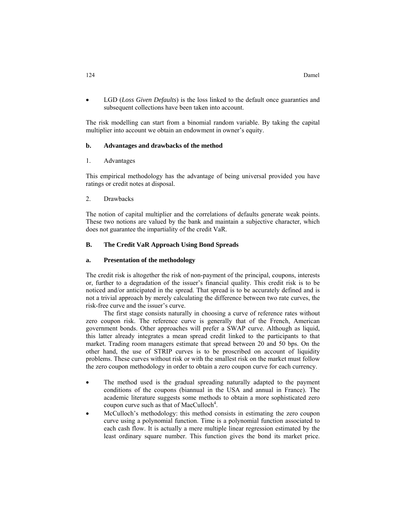• LGD (*Loss Given Defaults*) is the loss linked to the default once guaranties and subsequent collections have been taken into account.

The risk modelling can start from a binomial random variable. By taking the capital multiplier into account we obtain an endowment in owner's equity.

#### **b. Advantages and drawbacks of the method**

1. Advantages

This empirical methodology has the advantage of being universal provided you have ratings or credit notes at disposal.

2. Drawbacks

The notion of capital multiplier and the correlations of defaults generate weak points. These two notions are valued by the bank and maintain a subjective character, which does not guarantee the impartiality of the credit VaR.

#### **B. The Credit VaR Approach Using Bond Spreads**

## **a. Presentation of the methodology**

The credit risk is altogether the risk of non-payment of the principal, coupons, interests or, further to a degradation of the issuer's financial quality. This credit risk is to be noticed and/or anticipated in the spread. That spread is to be accurately defined and is not a trivial approach by merely calculating the difference between two rate curves, the risk-free curve and the issuer's curve.

The first stage consists naturally in choosing a curve of reference rates without zero coupon risk. The reference curve is generally that of the French, American government bonds. Other approaches will prefer a SWAP curve. Although as liquid, this latter already integrates a mean spread credit linked to the participants to that market. Trading room managers estimate that spread between 20 and 50 bps. On the other hand, the use of STRIP curves is to be proscribed on account of liquidity problems. These curves without risk or with the smallest risk on the market must follow the zero coupon methodology in order to obtain a zero coupon curve for each currency.

- The method used is the gradual spreading naturally adapted to the payment conditions of the coupons (biannual in the USA and annual in France). The academic literature suggests some methods to obtain a more sophisticated zero coupon curve such as that of MacCulloch<sup>4</sup>.
- McCulloch's methodology: this method consists in estimating the zero coupon curve using a polynomial function. Time is a polynomial function associated to each cash flow. It is actually a mere multiple linear regression estimated by the least ordinary square number. This function gives the bond its market price.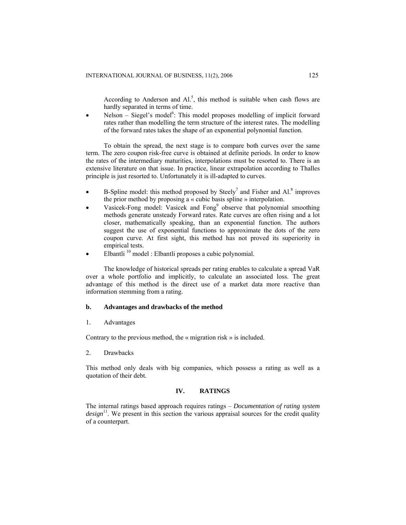According to Anderson and  $AI^5$ , this method is suitable when cash flows are hardly separated in terms of time.

• Nelson – Siegel's model<sup>6</sup>: This model proposes modelling of implicit forward rates rather than modelling the term structure of the interest rates. The modelling of the forward rates takes the shape of an exponential polynomial function.

To obtain the spread, the next stage is to compare both curves over the same term. The zero coupon risk-free curve is obtained at definite periods. In order to know the rates of the intermediary maturities, interpolations must be resorted to. There is an extensive literature on that issue. In practice, linear extrapolation according to Thalles principle is just resorted to. Unfortunately it is ill-adapted to curves.

- B-Spline model: this method proposed by Steely<sup>7</sup> and Fisher and  $AI^8$  improves the prior method by proposing a « cubic basis spline » interpolation.
- Vasicek-Fong model: Vasicek and  $Fong<sup>9</sup>$  observe that polynomial smoothing methods generate unsteady Forward rates. Rate curves are often rising and a lot closer, mathematically speaking, than an exponential function. The authors suggest the use of exponential functions to approximate the dots of the zero coupon curve. At first sight, this method has not proved its superiority in empirical tests.
- Elbantli 10 model : Elbantli proposes a cubic polynomial.

The knowledge of historical spreads per rating enables to calculate a spread VaR over a whole portfolio and implicitly, to calculate an associated loss. The great advantage of this method is the direct use of a market data more reactive than information stemming from a rating.

#### **b. Advantages and drawbacks of the method**

#### 1. Advantages

Contrary to the previous method, the « migration risk » is included.

2. Drawbacks

This method only deals with big companies, which possess a rating as well as a quotation of their debt.

## **IV. RATINGS**

The internal ratings based approach requires ratings – *Documentation of rating system design*<sup>11</sup>. We present in this section the various appraisal sources for the credit quality of a counterpart.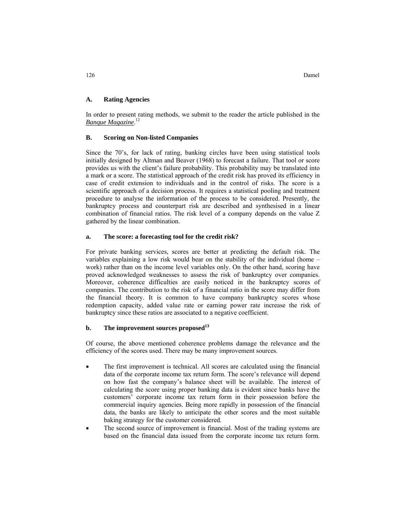## **A. Rating Agencies**

In order to present rating methods, we submit to the reader the article published in the *Banque Magazine*. 12

## **B. Scoring on Non-listed Companies**

Since the 70's, for lack of rating, banking circles have been using statistical tools initially designed by Altman and Beaver (1968) to forecast a failure. That tool or score provides us with the client's failure probability. This probability may be translated into a mark or a score. The statistical approach of the credit risk has proved its efficiency in case of credit extension to individuals and in the control of risks. The score is a scientific approach of a decision process. It requires a statistical pooling and treatment procedure to analyse the information of the process to be considered. Presently, the bankruptcy process and counterpart risk are described and synthesised in a linear combination of financial ratios. The risk level of a company depends on the value Z gathered by the linear combination.

## **a. The score: a forecasting tool for the credit risk?**

For private banking services, scores are better at predicting the default risk. The variables explaining a low risk would bear on the stability of the individual (home – work) rather than on the income level variables only. On the other hand, scoring have proved acknowledged weaknesses to assess the risk of bankruptcy over companies. Moreover, coherence difficulties are easily noticed in the bankruptcy scores of companies. The contribution to the risk of a financial ratio in the score may differ from the financial theory. It is common to have company bankruptcy scores whose redemption capacity, added value rate or earning power rate increase the risk of bankruptcy since these ratios are associated to a negative coefficient.

# **b. The improvement sources proposed<sup>13</sup>**

Of course, the above mentioned coherence problems damage the relevance and the efficiency of the scores used. There may be many improvement sources.

- The first improvement is technical. All scores are calculated using the financial data of the corporate income tax return form. The score's relevance will depend on how fast the company's balance sheet will be available. The interest of calculating the score using proper banking data is evident since banks have the customers' corporate income tax return form in their possession before the commercial inquiry agencies. Being more rapidly in possession of the financial data, the banks are likely to anticipate the other scores and the most suitable baking strategy for the customer considered.
- The second source of improvement is financial. Most of the trading systems are based on the financial data issued from the corporate income tax return form.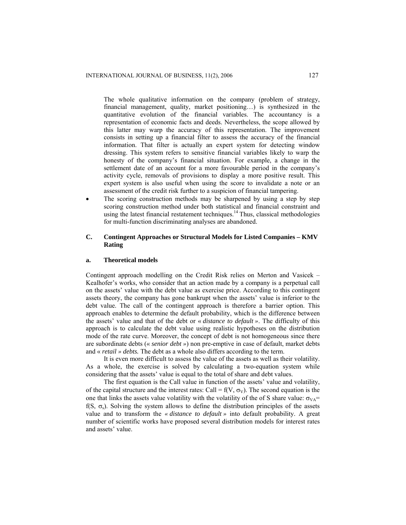The whole qualitative information on the company (problem of strategy, financial management, quality, market positioning…) is synthesized in the quantitative evolution of the financial variables. The accountancy is a representation of economic facts and deeds. Nevertheless, the scope allowed by this latter may warp the accuracy of this representation. The improvement consists in setting up a financial filter to assess the accuracy of the financial information. That filter is actually an expert system for detecting window dressing. This system refers to sensitive financial variables likely to warp the honesty of the company's financial situation. For example, a change in the settlement date of an account for a more favourable period in the company's activity cycle, removals of provisions to display a more positive result. This expert system is also useful when using the score to invalidate a note or an assessment of the credit risk further to a suspicion of financial tampering.

The scoring construction methods may be sharpened by using a step by step scoring construction method under both statistical and financial constraint and using the latest financial restatement techniques.<sup>14</sup> Thus, classical methodologies for multi-function discriminating analyses are abandoned.

## **C. Contingent Approaches or Structural Models for Listed Companies – KMV Rating**

#### **a. Theoretical models**

Contingent approach modelling on the Credit Risk relies on Merton and Vasicek – Kealhofer's works, who consider that an action made by a company is a perpetual call on the assets' value with the debt value as exercise price. According to this contingent assets theory, the company has gone bankrupt when the assets' value is inferior to the debt value. The call of the contingent approach is therefore a barrier option. This approach enables to determine the default probability, which is the difference between the assets' value and that of the debt or « *distance to default »*. The difficulty of this approach is to calculate the debt value using realistic hypotheses on the distribution mode of the rate curve. Moreover, the concept of debt is not homogeneous since there are subordinate debts (« *senior debt »*) non pre-emptive in case of default, market debts and « *retail » debts.* The debt as a whole also differs according to the term.

It is even more difficult to assess the value of the assets as well as their volatility. As a whole, the exercise is solved by calculating a two-equation system while considering that the assets' value is equal to the total of share and debt values.

The first equation is the Call value in function of the assets' value and volatility, of the capital structure and the interest rates: Call =  $f(V, \sigma_V)$ . The second equation is the one that links the assets value volatility with the volatility of the of S share value:  $\sigma_{VA}$ = f(S,  $\sigma_s$ ). Solving the system allows to define the distribution principles of the assets value and to transform the *« distance to default »* into default probability. A great number of scientific works have proposed several distribution models for interest rates and assets' value.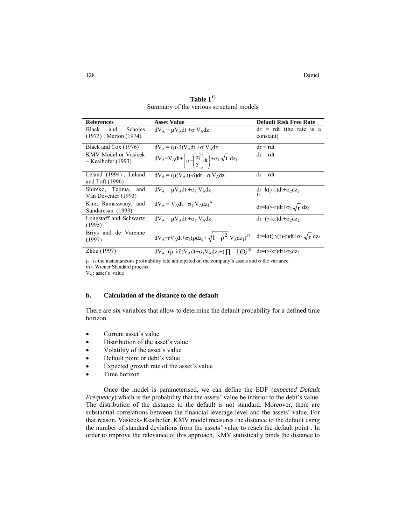| <b>References</b>                                            | <b>Asset Value</b>                                                                                                                | <b>Default Risk Free Rate</b>                |
|--------------------------------------------------------------|-----------------------------------------------------------------------------------------------------------------------------------|----------------------------------------------|
| Black<br><b>Scholes</b><br>and<br>$(1973)$ ; Merton $(1974)$ | $dV_A = \mu V_A dt + \sigma V_A dz$                                                                                               | $dr = rdt$ (the rate is a<br>constant)       |
| Black and Cox (1976)                                         | $dV_A = (\mu - \delta)V_A dt + \sigma V_A dz$                                                                                     | $dr = rdt$                                   |
| <b>KMV</b> Model or Vasicek<br>– Kealhofer (1993)            | $dV_A = V_A dt + \left(\mu - \left(\frac{\sigma_1^2}{2}\right) dt\right) + \sigma_1 \sqrt{t} dz_1$                                | $dr = rdt$                                   |
| Leland $(1994)$ ; Leland<br>and Toft $(1996)$                | $dV_A = (\mu(V_A t) - \delta)dt + \sigma V_A dz$                                                                                  | $dr = rdt$                                   |
| Shimko, Tejima,<br>and<br>Van Deventer (1993)                | $dV_A = uV_A dt + \sigma_1 V_A dz_1$                                                                                              | $dr = k(\gamma - r)dt + \sigma_2 dz_2$<br>16 |
| Kim, Ramaswany, and<br>Sundaresan (1993)                     | $dV_A = V_A dt + \sigma_1 V_A dz_1^A$                                                                                             | $dr=k(\gamma-r)dt+\sigma_2\sqrt{r} dz_2$     |
| Longstaff and Schwartz<br>(1995)                             | $dV_A = \mu V_A dt + \sigma_1 V_A dz_1$                                                                                           | $dr=(\gamma -kr)dt + \sigma_2 dz$            |
| Briys and de Varenne<br>(1997)                               | $dV_A = rV_A dt + \sigma_1(\rho dz_2 + \sqrt{1-\rho^2} V_A dz_1)^{17} \quad dr = k(t) \gamma(t) - r) dt + \sigma_2 \sqrt{r} dz_2$ |                                              |
| Zhou (1997)                                                  | $dV_A = (\mu - \lambda \delta) V_A dt + \sigma_1 V_A dz_1 + (\prod -1) Dj^{18} dr = (\gamma - kr) dt + \sigma_2 dz_2$             |                                              |

**Table 115** Summary of the various structural models

 $\mu$ : is the instantaneous profitability rate anticipated on the company's assets and  $\sigma$  the variance

in a Wiener Standard process

 $V_A$ : asset's value

## **b. Calculation of the distance to the default**

There are six variables that allow to determine the default probability for a defined time horizon.

- Current asset's value
- Distribution of the asset's value
- Volatility of the asset's value
- Default point or debt's value
- Expected growth rate of the asset's value
- Time horizon

Once the model is parameterised, we can define the EDF (*expected Default Frequency*) which is the probability that the assets' value be inferior to the debt's value. The distribution of the distance to the default is not standard. Moreover, there are substantial correlations between the financial leverage level and the assets' value. For that reason, Vasicek- Kealhofer KMV model measures the distance to the default using the number of standard deviations from the assets' value to reach the default point . In order to improve the relevance of this approach, KMV statistically binds the distance to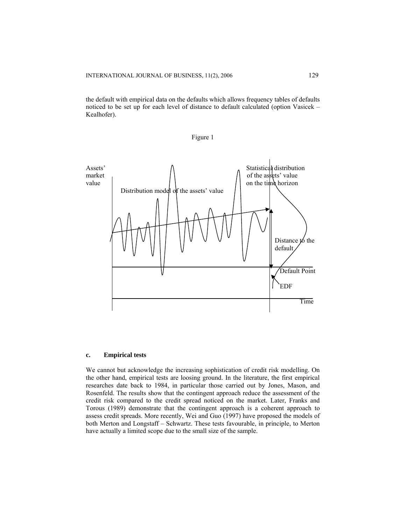the default with empirical data on the defaults which allows frequency tables of defaults noticed to be set up for each level of distance to default calculated (option Vasicek – Kealhofer).





#### **c. Empirical tests**

We cannot but acknowledge the increasing sophistication of credit risk modelling. On the other hand, empirical tests are loosing ground. In the literature, the first empirical researches date back to 1984, in particular those carried out by Jones, Mason, and Rosenfeld. The results show that the contingent approach reduce the assessment of the credit risk compared to the credit spread noticed on the market. Later, Franks and Torous (1989) demonstrate that the contingent approach is a coherent approach to assess credit spreads. More recently, Wei and Guo (1997) have proposed the models of both Merton and Longstaff – Schwartz. These tests favourable, in principle, to Merton have actually a limited scope due to the small size of the sample.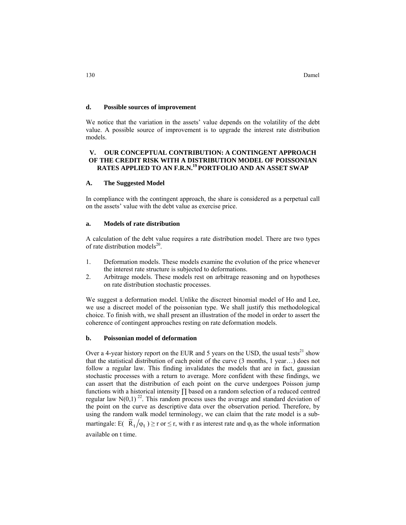#### **d. Possible sources of improvement**

We notice that the variation in the assets' value depends on the volatility of the debt value. A possible source of improvement is to upgrade the interest rate distribution models.

## **V. OUR CONCEPTUAL CONTRIBUTION: A CONTINGENT APPROACH OF THE CREDIT RISK WITH A DISTRIBUTION MODEL OF POISSONIAN RATES APPLIED TO AN F.R.N.19 PORTFOLIO AND AN ASSET SWAP**

#### **A. The Suggested Model**

In compliance with the contingent approach, the share is considered as a perpetual call on the assets' value with the debt value as exercise price.

#### **a. Models of rate distribution**

A calculation of the debt value requires a rate distribution model. There are two types of rate distribution models 20.

- 1. Deformation models. These models examine the evolution of the price whenever the interest rate structure is subjected to deformations.
- 2. Arbitrage models. These models rest on arbitrage reasoning and on hypotheses on rate distribution stochastic processes.

We suggest a deformation model. Unlike the discreet binomial model of Ho and Lee, we use a discreet model of the poissonian type. We shall justify this methodological choice. To finish with, we shall present an illustration of the model in order to assert the coherence of contingent approaches resting on rate deformation models.

#### **b. Poissonian model of deformation**

Over a 4-year history report on the EUR and 5 years on the USD, the usual tests<sup>21</sup> show that the statistical distribution of each point of the curve (3 months, 1 year…) does not follow a regular law. This finding invalidates the models that are in fact, gaussian stochastic processes with a return to average. More confident with these findings, we can assert that the distribution of each point on the curve undergoes Poisson jump functions with a historical intensity ∏ based on a random selection of a reduced centred regular law  $N(0,1)^{22}$ . This random process uses the average and standard deviation of the point on the curve as descriptive data over the observation period. Therefore, by using the random walk model terminology, we can claim that the rate model is a submartingale: E(  $\overline{R}_t / \varphi_t$  )  $\geq$  r or  $\leq$  r, with r as interest rate and  $\varphi_t$  as the whole information available on t time.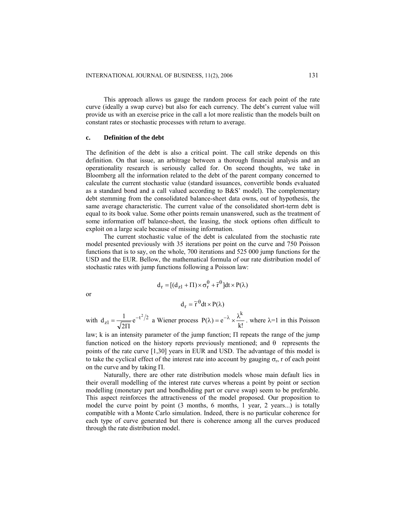This approach allows us gauge the random process for each point of the rate curve (ideally a swap curve) but also for each currency. The debt's current value will provide us with an exercise price in the call a lot more realistic than the models built on constant rates or stochastic processes with return to average.

#### **c. Definition of the debt**

The definition of the debt is also a critical point. The call strike depends on this definition. On that issue, an arbitrage between a thorough financial analysis and an operationality research is seriously called for. On second thoughts, we take in Bloomberg all the information related to the debt of the parent company concerned to calculate the current stochastic value (standard issuances, convertible bonds evaluated as a standard bond and a call valued according to B&S' model). The complementary debt stemming from the consolidated balance-sheet data owns, out of hypothesis, the same average characteristic. The current value of the consolidated short-term debt is equal to its book value. Some other points remain unanswered, such as the treatment of some information off balance-sheet, the leasing, the stock options often difficult to exploit on a large scale because of missing information.

The current stochastic value of the debt is calculated from the stochastic rate model presented previously with 35 iterations per point on the curve and 750 Poisson functions that is to say, on the whole, 700 iterations and 525 000 jump functions for the USD and the EUR. Bellow, the mathematical formula of our rate distribution model of stochastic rates with jump functions following a Poisson law:

$$
d_r = [(d_{z1} + \Pi) \times \sigma_r^{\theta} + \bar{r}^{\theta}]dt \times P(\lambda)
$$

or

$$
d_r = \widetilde{r}^\theta dt \times P(\lambda)
$$

with  $d_{z1} = \frac{1}{\sqrt{2\pi}} e^{-t^2/2}$ 2  $d_{z1} = \frac{1}{\sqrt{2\Pi}} e^{-t^2/2}$  a Wiener process  $P(\lambda) = e^{-\lambda} \times \frac{\lambda^k}{k!}$ . where  $\lambda = 1$  in this Poisson

law; k is an intensity parameter of the jump function; Π repeats the range of the jump function noticed on the history reports previously mentioned; and θ represents the points of the rate curve [1,30] years in EUR and USD. The advantage of this model is to take the cyclical effect of the interest rate into account by gauging  $\sigma_{r}$ , r of each point on the curve and by taking  $\Pi$ .

Naturally, there are other rate distribution models whose main default lies in their overall modelling of the interest rate curves whereas a point by point or section modelling (monetary part and bondholding part or curve swap) seem to be preferable. This aspect reinforces the attractiveness of the model proposed. Our proposition to model the curve point by point (3 months, 6 months, 1 year, 2 years...) is totally compatible with a Monte Carlo simulation. Indeed, there is no particular coherence for each type of curve generated but there is coherence among all the curves produced through the rate distribution model.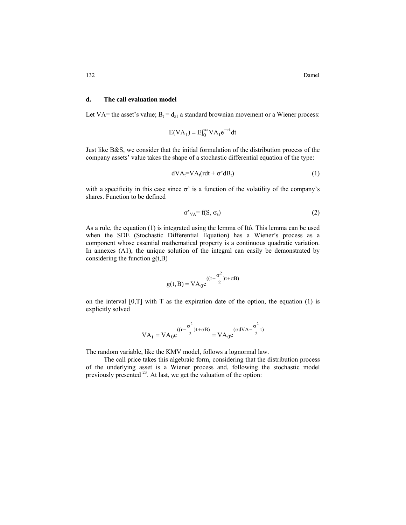#### **d. The call evaluation model**

Let VA= the asset's value;  $B_t = d_{z1}$  a standard brownian movement or a Wiener process:

$$
E(VA_t) = E\int_0^\infty VA_t e^{-rt} dt
$$

Just like B&S, we consider that the initial formulation of the distribution process of the company assets' value takes the shape of a stochastic differential equation of the type:

$$
dVA_t = VA_t (rdt + \sigma^2 dB_t)
$$
 (1)

with a specificity in this case since  $\sigma'$  is a function of the volatility of the company's shares. Function to be defined

$$
\sigma'_{VA} = f(S, \sigma_s) \tag{2}
$$

As a rule, the equation (1) is integrated using the lemma of Itô. This lemma can be used when the SDE (Stochastic Differential Equation) has a Wiener's process as a component whose essential mathematical property is a continuous quadratic variation. In annexes (A1), the unique solution of the integral can easily be demonstrated by considering the function  $g(t, B)$ 

$$
g(t,B) = VA_0 e^{((r-\frac{\sigma^2}{2})t + \sigma B)}
$$

on the interval  $[0, T]$  with T as the expiration date of the option, the equation (1) is explicitly solved

$$
VA_t = VA_0 e^{((r - \frac{\sigma^2}{2})t + \sigma B)} = VA_0 e^{(\sigma dVA - \frac{\sigma^2}{2}t)}
$$

The random variable, like the KMV model, follows a lognormal law.

The call price takes this algebraic form, considering that the distribution process of the underlying asset is a Wiener process and, following the stochastic model previously presented <sup>23</sup>. At last, we get the valuation of the option: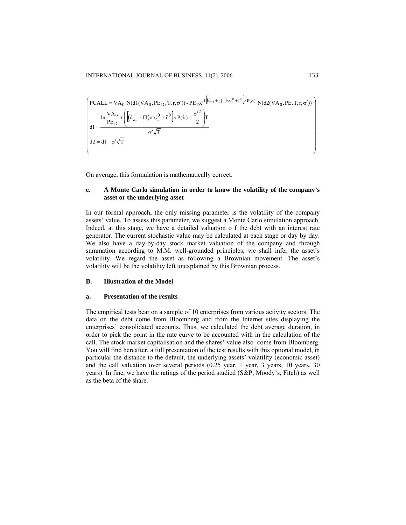$$
\begin{pmatrix}\n\text{PCALL} = \text{VA}_0 \ N(\text{dl}(\text{VA}_0, \text{PE}_D, \text{T}, \text{r}, \sigma')) - \text{PE}_D e^T \left[ \left( d_{z1} + \Pi \right) \times \sigma_r^{\theta} + \bar{r}^{\theta} \right] \times P(\lambda) \ N(\text{d2}(\text{VA}_0, \text{PE}, \text{T}, \text{r}, \sigma')) \\
\ln \frac{\text{VA}_0}{\text{PE}_D} + \left[ \left[ \left( d_{z1} + \Pi \right) \times \sigma_r^{\theta} + \bar{r}^{\theta} \right] \times P(\lambda) - \frac{\sigma'^2}{2} \right] \Gamma \\
\text{d1} = \frac{\sigma' \sqrt{\text{T}}}{\sigma' \sqrt{\text{T}}} \\
\text{d2} = \text{d1} - \sigma' \sqrt{\text{T}}\n\end{pmatrix}
$$

On average, this formulation is mathematically correct.

# **e. A Monte Carlo simulation in order to know the volatility of the company's asset or the underlying asset**

In our formal approach, the only missing parameter is the volatility of the company assets' value. To assess this parameter, we suggest a Monte Carlo simulation approach. Indeed, at this stage, we have a detailed valuation o f the debt with an interest rate generator. The current stochastic value may be calculated at each stage or day by day. We also have a day-by-day stock market valuation of the company and through summation according to M.M. well-grounded principles; we shall infer the asset's volatility. We regard the asset as following a Brownian movement. The asset's volatility will be the volatility left unexplained by this Brownian process.

#### **B. Illustration of the Model**

## **a. Presentation of the results**

The empirical tests bear on a sample of 10 enterprises from various activity sectors. The data on the debt come from Bloomberg and from the Internet sites displaying the enterprises' consolidated accounts. Thus, we calculated the debt average duration, in order to pick the point in the rate curve to be accounted with in the calculation of the call. The stock market capitalisation and the shares' value also come from Bloomberg. You will find hereafter, a full presentation of the test results with this optional model, in particular the distance to the default, the underlying assets' volatility (economic asset) and the call valuation over several periods (0.25 year, 1 year, 3 years, 10 years, 30 years). In fine, we have the ratings of the period studied (S&P, Moody's, Fitch) as well as the beta of the share.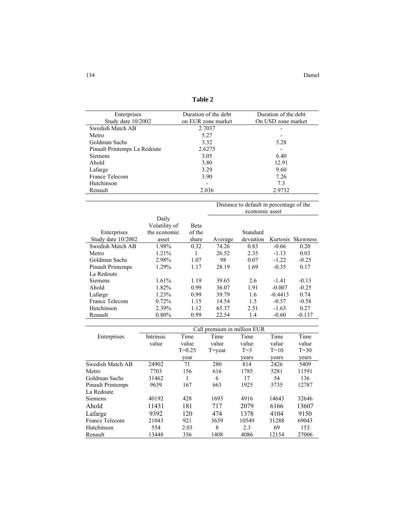| ۰.<br>v<br>۹<br>×<br>۰, |  |
|-------------------------|--|
|-------------------------|--|

| Enterprises                  | Duration of the debt     | Duration of the debt |
|------------------------------|--------------------------|----------------------|
| Study date 10/2002           | on EUR zone market       | On USD zone market   |
| Swedish Match AB             | 2.7037                   |                      |
| Metro                        | 5.27                     |                      |
| Goldman Sachs                | 3.32                     | 5.28                 |
| Pinault Printemps La Redoute | 2.6275                   | -                    |
| <b>Siemens</b>               | 3.05                     | 6.40                 |
| Ahold                        | 3.80                     | 12.91                |
| Lafarge                      | 3.29                     | 9.60                 |
| France Telecom               | 3.90                     | 7 2.6                |
| Hutchinson                   | $\overline{\phantom{0}}$ | 7.3                  |
| Renault                      | 2.036                    | 2.9732               |
|                              |                          |                      |

Distance to default in percentage of the

|                    |               |        | economic asset |           |           |                 |
|--------------------|---------------|--------|----------------|-----------|-----------|-----------------|
|                    | Daily         |        |                |           |           |                 |
|                    | Volatility of | Beta   |                |           |           |                 |
| Enterprises        | the economic  | of the |                | Standard  |           |                 |
| Study date 10/2002 | asset         | share  | Average        | deviation | Kurtosis  | <b>Skewness</b> |
| Swedish Match AB   | 1.98%         | 0.32   | 74.26          | 0.83      | $-0.66$   | 0.20            |
| Metro              | 1.21%         |        | 26.52          | 2.35      | $-1.13$   | 0.03            |
| Goldman Sachs      | 2.98%         | 1.07   | 98             | 0.07      | $-1.22$   | $-0.25$         |
| Pinault Printemps  | 1.29%         | 1.17   | 28.19          | 1.69      | $-0.35$   | 0.17            |
| La Redoute         |               |        |                |           |           |                 |
| <b>Siemens</b>     | 1.61%         | 1.19   | 39.65          | 2.6       | $-1.41$   | $-0.13$         |
| Ahold              | 1.82%         | 0.99   | 36.07          | 1.91      | $-0.007$  | $-0.25$         |
| Lafarge            | 1.23%         | 0.99   | 39.79          | 1.6       | $-0.4413$ | 0.74            |
| France Telecom     | 0.72%         | 1.15   | 14.54          | 1.5       | $-0.57$   | $-0.58$         |
| Hutchinson         | 2.39%         | 1.12   | 65.37          | 2.51      | $-1.63$   | 0.27            |
| Renault            | $0.80\%$      | 0.99   | 22.54          | 1.4       | $-0.60$   | $-0.137$        |

|                          | Call premium in million EUR |          |            |       |        |          |
|--------------------------|-----------------------------|----------|------------|-------|--------|----------|
| Enterprises              | Intrinsic                   | Time     | Time       | Time  | Time   | Time     |
|                          | value                       | value    | value      | value | value  | value    |
|                          |                             | $T=0.25$ | $T = year$ | $T=3$ | $T=10$ | $T = 30$ |
|                          |                             | year     |            | years | years  | years    |
| Swedish Match AB         | 24902                       | 71       | 280        | 814   | 2426   | 5409     |
| Metro                    | 7703                        | 156      | 616        | 1785  | 5281   | 11591    |
| Goldman Sachs            | 31462                       |          | 6          | 17    | 54     | 136      |
| <b>Pinault Printemps</b> | 9639                        | 167      | 663        | 1925  | 5735   | 12787    |
| La Redoute               |                             |          |            |       |        |          |
| <b>Siemens</b>           | 40192                       | 428      | 1693       | 4916  | 14643  | 32646    |
| Ahold                    | 11431                       | 181      | 717        | 2079  | 6166   | 13607    |
| Lafarge                  | 9392                        | 120      | 474        | 1378  | 4104   | 9150     |
| France Telecom           | 21043                       | 921      | 3639       | 10549 | 31288  | 69043    |
| Hutchinson               | 554                         | 2.03     | 8          | 2.3   | 69     | 153      |
| Renault                  | 13448                       | 356      | 1408       | 4086  | 12154  | 27006    |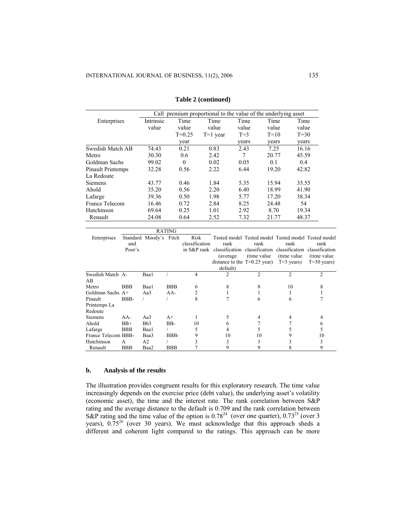|                   | Call premium proportional to the value of the underlying asset |          |            |       |        |        |
|-------------------|----------------------------------------------------------------|----------|------------|-------|--------|--------|
| Enterprises       | Intrinsic                                                      | Time     | Time       | Time  | Time   | Time   |
|                   | value                                                          | value    | value      | value | value  | value  |
|                   |                                                                | $T=0.25$ | $T=1$ year | $T=3$ | $T=10$ | $T=30$ |
|                   |                                                                | year     |            | years | years  | years  |
| Swedish Match AB  | 74.43                                                          | 0.21     | 0.83       | 2.43  | 7.25   | 16.16  |
| Metro             | 30.30                                                          | 0.6      | 2.42       | 7     | 20.77  | 45.59  |
| Goldman Sachs     | 99.02                                                          | $\theta$ | 0.02       | 0.05  | 0.1    | 0.4    |
| Pinault Printemps | 32.28                                                          | 0.56     | 2.22       | 6.44  | 19.20  | 42.82  |
| La Redoute        |                                                                |          |            |       |        |        |
| <b>Siemens</b>    | 43.77                                                          | 0.46     | 1.84       | 5.35  | 15.94  | 35.55  |
| Ahold             | 35.20                                                          | 0.56     | 2.20       | 6.40  | 18.99  | 41.90  |
| Lafarge           | 39.36                                                          | 0.50     | 1.98       | 5.77  | 17.20  | 38.34  |
| France Telecom    | 16.46                                                          | 0.72     | 2.84       | 8.25  | 24.48  | 54     |
| Hutchinson        | 69.64                                                          | 0.25     | 1.01       | 2.92  | 8.70   | 19.34  |
| Renault           | 24.08                                                          | 0.64     | 2.52       | 7.32  | 21.77  | 48.37  |

#### **Table 2 (continued)**

|                         |               |                        | <b>RATING</b> |                        |                                                                                                                                                                        |                      |                                      |                                                         |
|-------------------------|---------------|------------------------|---------------|------------------------|------------------------------------------------------------------------------------------------------------------------------------------------------------------------|----------------------|--------------------------------------|---------------------------------------------------------|
| Enterprises             | and<br>Poor's | Standard Moody's Fitch |               | Risk<br>classification | Tested model Tested model Tested model Tested model<br>rank<br>in S&P rank classification classification classification<br>(average)<br>distance to the $T=0.25$ year) | rank<br>(time value) | rank<br>(time value)<br>$T=3$ years) | rank<br>classification<br>(time value)<br>$T=30$ years) |
|                         |               |                        |               |                        | default)                                                                                                                                                               |                      |                                      |                                                         |
| Swedish Match A-<br>AВ  |               | Baa1                   |               | 4                      | 2                                                                                                                                                                      | $\mathfrak{D}$       | $\overline{c}$                       | $\mathfrak{D}$                                          |
| Metro                   | <b>BBB</b>    | Baa1                   | <b>BBB</b>    | 6                      |                                                                                                                                                                        |                      | 10                                   |                                                         |
| Goldman Sachs A+        |               | Aa3                    | $AA-$         | 2                      |                                                                                                                                                                        |                      |                                      |                                                         |
| Pinault                 | BBB-          |                        |               | 8                      |                                                                                                                                                                        | 6                    | 6                                    |                                                         |
| Printemps La<br>Redoute |               |                        |               |                        |                                                                                                                                                                        |                      |                                      |                                                         |
| <b>Siemens</b>          | $AA-$         | Aa3                    | $A+$          |                        |                                                                                                                                                                        |                      |                                      | 4                                                       |
| Ahold                   | $BB+$         | B <sub>b</sub> 3       | BB-           | 10                     | 6                                                                                                                                                                      |                      |                                      | 6                                                       |
| Lafarge                 | <b>BBB</b>    | Baa1                   |               |                        | 4                                                                                                                                                                      |                      |                                      |                                                         |
| France Telecom BBB-     |               | Baa3                   | BBB-          | 9                      | 10                                                                                                                                                                     | 10                   |                                      | 10                                                      |
| Hutchinson              | A             | A2                     |               |                        | 3                                                                                                                                                                      |                      |                                      | 3                                                       |
| Renault                 | <b>BBB</b>    | Baa2                   | <b>BBB</b>    |                        | 9                                                                                                                                                                      |                      |                                      | 9                                                       |

## **b. Analysis of the results**

The illustration provides congruent results for this exploratory research. The time value increasingly depends on the exercise price (debt value), the underlying asset's volatility (economic asset), the time and the interest rate. The rank correlation between S&P rating and the average distance to the default is 0.709 and the rank correlation between S&P rating and the time value of the option is  $0.78^{24}$  (over one quarter),  $0.73^{25}$  (over 3 years),  $0.75^{26}$  (over 30 years). We must acknowledge that this approach sheds a different and coherent light compared to the ratings. This approach can be more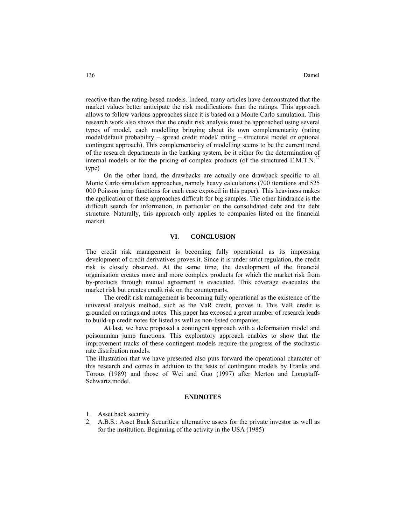reactive than the rating-based models. Indeed, many articles have demonstrated that the market values better anticipate the risk modifications than the ratings. This approach allows to follow various approaches since it is based on a Monte Carlo simulation. This research work also shows that the credit risk analysis must be approached using several types of model, each modelling bringing about its own complementarity (rating model/default probability – spread credit model/ rating – structural model or optional contingent approach). This complementarity of modelling seems to be the current trend of the research departments in the banking system, be it either for the determination of internal models or for the pricing of complex products (of the structured  $E.M.T.N.<sup>27</sup>$ type)

On the other hand, the drawbacks are actually one drawback specific to all Monte Carlo simulation approaches, namely heavy calculations (700 iterations and 525 000 Poisson jump functions for each case exposed in this paper). This heaviness makes the application of these approaches difficult for big samples. The other hindrance is the difficult search for information, in particular on the consolidated debt and the debt structure. Naturally, this approach only applies to companies listed on the financial market.

#### **VI. CONCLUSION**

The credit risk management is becoming fully operational as its impressing development of credit derivatives proves it. Since it is under strict regulation, the credit risk is closely observed. At the same time, the development of the financial organisation creates more and more complex products for which the market risk from by-products through mutual agreement is evacuated. This coverage evacuates the market risk but creates credit risk on the counterparts.

The credit risk management is becoming fully operational as the existence of the universal analysis method, such as the VaR credit, proves it. This VaR credit is grounded on ratings and notes. This paper has exposed a great number of research leads to build-up credit notes for listed as well as non-listed companies.

At last, we have proposed a contingent approach with a deformation model and poisonnnian jump functions. This exploratory approach enables to show that the improvement tracks of these contingent models require the progress of the stochastic rate distribution models.

The illustration that we have presented also puts forward the operational character of this research and comes in addition to the tests of contingent models by Franks and Torous (1989) and those of Wei and Guo (1997) after Merton and Longstaff-Schwartz.model.

#### **ENDNOTES**

- 1. Asset back security
- 2. A.B.S.: Asset Back Securities: alternative assets for the private investor as well as for the institution. Beginning of the activity in the USA (1985)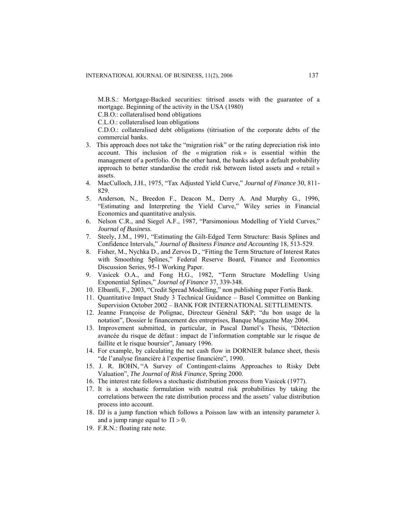M.B.S.: Mortgage-Backed securities: titrised assets with the guarantee of a mortgage. Beginning of the activity in the USA (1980)

C.B.O.: collateralised bond obligations

C.L.O.: collateralised loan obligations

 C.D.O.: collateralised debt obligations (titrisation of the corporate debts of the commercial banks.

- 3. This approach does not take the "migration risk" or the rating depreciation risk into account. This inclusion of the « migration risk » is essential within the management of a portfolio. On the other hand, the banks adopt a default probability approach to better standardise the credit risk between listed assets and « retail » assets.
- 4. MacCulloch, J.H., 1975, "Tax Adjusted Yield Curve," *Journal of Finance* 30, 811- 829.
- 5. Anderson, N., Breedon F., Deacon M., Derry A. And Murphy G., 1996, "Estimating and Interpreting the Yield Curve," Wiley series in Financial Economics and quantitative analysis.
- 6. Nelson C.R., and Siegel A.F., 1987, "Parsimonious Modelling of Yield Curves," *Journal of Business*.
- 7. Steely, J.M., 1991, "Estimating the Gilt-Edged Term Structure: Basis Splines and Confidence Intervals," *Journal of Business Finance and Accounting* 18, 513-529.
- 8. Fisher, M., Nychka D., and Zervos D., "Fitting the Term Structure of Interest Rates with Smoothing Splines," Federal Reserve Board, Finance and Economics Discussion Series, 95-1 Working Paper.
- 9. Vasicek O.A., and Fong H.G., 1982, "Term Structure Modelling Using Exponential Splines," *Journal of Finance* 37, 339-348.
- 10. Elbantli, F., 2003, "Credit Spread Modelling," non publishing paper Fortis Bank.
- 11. Quantitative Impact Study 3 Technical Guidance Basel Committee on Banking Supervision October 2002 – BANK FOR INTERNATIONAL SETTLEMENTS.
- 12. Jeanne Françoise de Polignac, Directeur Général S&P; "du bon usage de la notation", Dossier le financement des entreprises, Banque Magazine May 2004.
- 13. Improvement submitted, in particular, in Pascal Damel's Thesis, "Détection avancée du risque de défaut : impact de l'information comptable sur le risque de faillite et le risque boursier", January 1996.
- 14. For example, by calculating the net cash flow in DORNIER balance sheet, thesis "de l'analyse financière à l'expertise financière", 1990.
- 15. J. R. BOHN, "A Survey of Contingent-claims Approaches to Risky Debt Valuation", *The Journal of Risk Finance*, Spring 2000.
- 16. The interest rate follows a stochastic distribution process from Vasicek (1977).
- 17. It is a stochastic formulation with neutral risk probabilities by taking the correlations between the rate distribution process and the assets' value distribution process into account.
- 18. DJ is a jump function which follows a Poisson law with an intensity parameter  $\lambda$ and a jump range equal to  $\Pi > 0$ .
- 19. F.R.N.: floating rate note.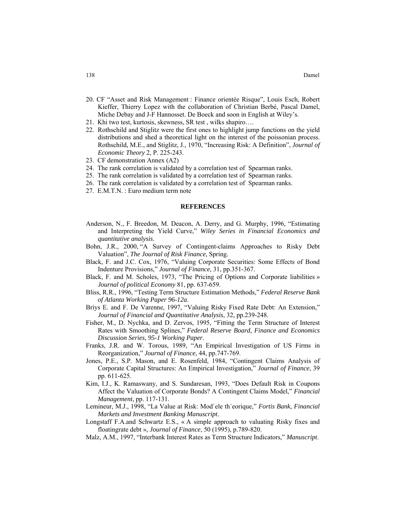- 20. CF "Asset and Risk Management : Finance orientée Risque", Louis Esch, Robert Kieffer, Thierry Lopez with the collaboration of Christian Berbé, Pascal Damel, Miche Debay and J-F Hannosset. De Boeck and soon in English at Wiley's.
- 21. Khi two test, kurtosis, skewness, SR test , wilks shapiro….
- 22. Rothschild and Stiglitz were the first ones to highlight jump functions on the yield distributions and shed a theoretical light on the interest of the poissonian process. Rothschild, M.E., and Stiglitz, J., 1970, "Increasing Risk: A Definition", *Journal of Economic Theory* 2, P. 225-243.
- 23. CF demonstration Annex (A2)
- 24. The rank correlation is validated by a correlation test of Spearman ranks.
- 25. The rank correlation is validated by a correlation test of Spearman ranks.
- 26. The rank correlation is validated by a correlation test of Spearman ranks.
- 27. E.M.T.N. : Euro medium term note

## **REFERENCES**

- Anderson, N., F. Breedon, M. Deacon, A. Derry, and G. Murphy, 1996, "Estimating and Interpreting the Yield Curve," *Wiley Series in Financial Economics and quantitative analysis*.
- Bohn, J.R., 2000, "A Survey of Contingent-claims Approaches to Risky Debt Valuation", *The Journal of Risk Finance*, Spring.
- Black, F. and J.C. Cox, 1976, "Valuing Corporate Securities: Some Effects of Bond Indenture Provisions," *Journal of Finance*, 31, pp.351-367.
- Black, F. and M. Scholes, 1973, "The Pricing of Options and Corporate liabilities » *Journal of political Economy* 81, pp. 637-659.
- Bliss, R.R., 1996, "Testing Term Structure Estimation Methods," *Federal Reserve Bank of Atlanta Working Paper 96-12a*.
- Briys E. and F. De Varenne, 1997, "Valuing Risky Fixed Rate Debt: An Extension," *Journal of Financial and Quantitative Analysis*, 32, pp.239-248.
- Fisher, M., D. Nychka, and D. Zervos, 1995, "Fitting the Term Structure of Interest Rates with Smoothing Splines," *Federal Reserve Board, Finance and Economics Discussion Series, 95-1 Working Paper*.
- Franks, J.R. and W. Torous, 1989, "An Empirical Investigation of US Firms in Reorganization," *Journal of Finance*, 44, pp.747-769.
- Jones, P.E., S.P. Mason, and E. Rosenfeld, 1984, "Contingent Claims Analysis of Corporate Capital Structures: An Empirical Investigation," *Journal of Finance*, 39 pp. 611-625.
- Kim, I.J., K. Ramaswany, and S. Sundaresan, 1993, "Does Default Risk in Coupons Affect the Valuation of Corporate Bonds? A Contingent Claims Model," *Financial Management*, pp. 117-131.
- Lemineur, M.J., 1998, "La Value at Risk: Mod`ele th´eorique," *Fortis Bank, Financial Markets and Investment Banking Manuscript*.
- Longstaff F.A.and Schwartz E.S., « A simple approach to valuating Risky fixes and floatingrate debt », *Journal of Finance*, 50 (1995), p.789-820.
- Malz, A.M., 1997, "Interbank Interest Rates as Term Structure Indicators," *Manuscript*.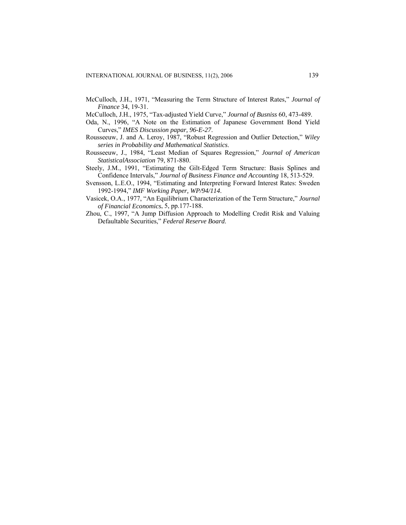McCulloch, J.H., 1971, "Measuring the Term Structure of Interest Rates," *Journal of Finance* 34, 19-31.

McCulloch, J.H., 1975, "Tax-adjusted Yield Curve," *Journal of Busniss* 60, 473-489.

- Oda, N., 1996, "A Note on the Estimation of Japanese Government Bond Yield Curves," *IMES Discussion papar, 96-E-27*.
- Rousseeuw, J. and A. Leroy, 1987, "Robust Regression and Outlier Detection," *Wiley series in Probability and Mathematical Statistics*.
- Rousseeuw, J., 1984, "Least Median of Squares Regression," *Journal of American StatisticalAssociation* 79, 871-880.
- Steely, J.M., 1991, "Estimating the Gilt-Edged Term Structure: Basis Splines and Confidence Intervals," *Journal of Business Finance and Accounting* 18, 513-529.
- Svensson, L.E.O., 1994, "Estimating and Interpreting Forward Interest Rates: Sweden 1992-1994," *IMF Working Paper, WP/94/114*.
- Vasicek, O.A., 1977, "An Equilibrium Characterization of the Term Structure," *Journal of Financial Economics*, 5, pp.177-188.
- Zhou, C., 1997, "A Jump Diffusion Approach to Modelling Credit Risk and Valuing Defaultable Securities," *Federal Reserve Board*.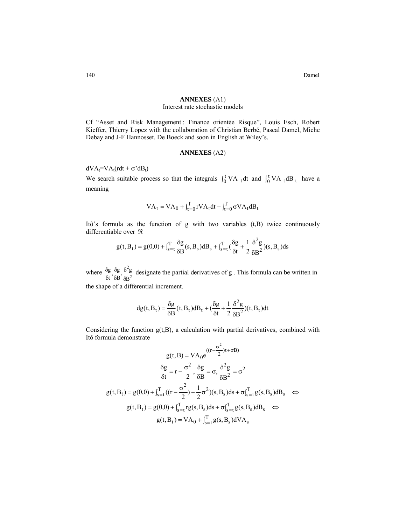140 Damel

# **ANNEXES** (A1)

## Interest rate stochastic models

Cf "Asset and Risk Management : Finance orientée Risque", Louis Esch, Robert Kieffer, Thierry Lopez with the collaboration of Christian Berbé, Pascal Damel, Miche Debay and J-F Hannosset. De Boeck and soon in English at Wiley's.

## **ANNEXES** (A2)

 $dVA_t = VA_t(rdt + \sigma^2 dB_t)$ 

We search suitable process so that the integrals  $\int_0^t VA_t dt$  and  $\int_0^t VA_t dB_t$  have a meaning

$$
VA_t = VA_0 + \int_{t=0}^{T} rVA_t dt + \int_{t=0}^{T} \sigma VA_t dB_t
$$

Itô's formula as the function of g with two variables (t,B) twice continuously differentiable over ℜ

$$
g(t, B_t) = g(0,0) + \int_{s=t}^{T} \frac{\delta g}{\delta B}(s, B_s) dB_s + \int_{s=t}^{T} (\frac{\delta g}{\delta t} + \frac{1}{2} \frac{\delta^2 g}{\delta B^2})(s, B_s) ds
$$

where  $\frac{\text{og}}{\text{at}}, \frac{\text{og}}{\text{dB}}, \frac{\text{o}}{\text{SB}}$ 2 B  $\frac{g}{f}$ ,  $\frac{\delta g}{\delta B}$ ,  $\frac{\delta^2 g}{\delta B^2}$ g δ δ δ δ  $\frac{\delta g}{\delta t}, \frac{\delta g}{\delta B}, \frac{\delta^2 g}{\delta B^2}$  designate the partial derivatives of g. This formula can be written in

the shape of a differential increment.

$$
dg(t, B_t) = \frac{\delta g}{\delta B}(t, B_t)dB_t + (\frac{\delta g}{\delta t} + \frac{1}{2}\frac{\delta^2 g}{\delta B^2})(t, B_t)dt
$$

Considering the function  $g(t, B)$ , a calculation with partial derivatives, combined with Itô formula demonstrate

$$
g(t, B) = VA_0 e^{((r - \frac{\sigma^2}{2})t + \sigma B)}
$$
  

$$
\frac{\delta g}{\delta t} = r - \frac{\sigma^2}{2}, \frac{\delta g}{\delta B} = \sigma, \frac{\delta^2 g}{\delta B^2} = \sigma^2
$$
  

$$
g(t, B_t) = g(0, 0) + \int_{s=t}^{T} ((r - \frac{\sigma^2}{2}) + \frac{1}{2}\sigma^2)(s, B_s)ds + \sigma \int_{s=t}^{T} g(s, B_s)dB_s \quad \Leftrightarrow
$$
  

$$
g(t, B_t) = g(0, 0) + \int_{s=t}^{T} rg(s, B_s)ds + \sigma \int_{s=t}^{T} g(s, B_s)dB_s \quad \Leftrightarrow
$$
  

$$
g(t, B_t) = VA_0 + \int_{s=t}^{T} g(s, B_s) dVA_s
$$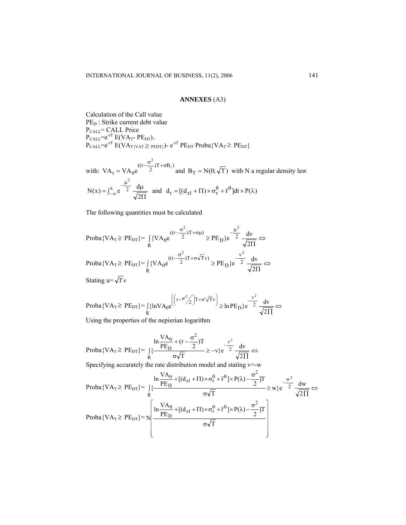## **ANNEXES** (A3)

Calculation of the Call value PE<sub>D</sub>: Strike current debt value P<sub>CALL</sub>= CALL Price  $P_{\text{CALL}}=e^{-rT} E(VA_T-PE_{DT})_+$  $P_{\text{CAL}}=e^{-rT} E(VA_{T\{VAT}\geq_{\text{PEDT}\}})$ -  $e^{-rT} PE_{\text{DT}}$  Proba $\{VA_T \geq PE_{\text{DT}}\}$ 

with:  $VA_t = VA_0 e^{((r - \frac{O}{2})T + \sigma B_t)}$  $VA_t = VA_0 e^{((r - \frac{\sigma^2}{2})T + \sigma B_t)}$  and  $B_T = N(0; \sqrt{T})$  with N a regular density law  $=\int_{-\infty}^{x} e^{-\frac{\mu^2}{2}} \frac{d\mu}{\sqrt{2\Pi}}$ 2  $N(x) = \int_{-\infty}^{x} e^{-\frac{F}{2}} \frac{d}{f}$ 2 and  $d_r = [(d_{z1} + \Pi) \times \sigma_r^{\theta} + \bar{r}^{\theta}]dt \times P(\lambda)$ 

The following quantities must be calculated

$$
\text{Proba}\{VA_{T} \ge PE_{DT}\} = \int_{R} \{VA_{0}e^{((r-\frac{\sigma^{2}}{2})T+\sigma\mu)} \ge PE_{D}\}e^{-\frac{\mu^{2}}{2}}\frac{dv}{\sqrt{2\Pi}} \Leftrightarrow
$$
\n
$$
\text{Proba}\{VA_{T} \ge PE_{DT}\} = \int_{R} \{VA_{0}e^{((r-\frac{\sigma^{2}}{2})T+\sigma\sqrt{T}v)} \ge PE_{D}\}e^{-\frac{v^{2}}{2}}\frac{dv}{\sqrt{2\Pi}} \Leftrightarrow
$$
\n
$$
\text{Stating } u = \sqrt{T}v
$$

$$
\text{Proba}\{\text{VA}_{\text{T}} \ge \text{PE}_{\text{DT}}\} = \int_{R} \{\ln \text{VA}_{0}e^{\left(\left(r - \sigma^{2} / 2\right)\text{T} + \sigma^{'} \sqrt{\text{T}} \text{v}\right)} \ge \ln \text{PE}_{\text{D}}\}e^{-\frac{v^{2}}{2}} \frac{dv}{\sqrt{2 \Pi}} \Leftrightarrow
$$

Using the properties of the nepierian logarithm

$$
\text{Proba}\{VA_T \ge PE_{DT}\} = \frac{\ln \frac{VA_0}{PE_D} + (r - \frac{\sigma^2}{2})T}{R} \ge -v\}e^{-\frac{v^2}{2}}\frac{dv}{\sqrt{2\Pi}} \Leftrightarrow
$$

Specifying accurately the rate distribution model and stating v=-w

$$
Proba\{VA_{T}\geq PE_{DT}\}=\int\left\{\frac{\ln\frac{VA_{0}}{PE_{D}}+[(d_{z1}+ \Pi)\times\sigma_{r}^{\theta}+\bar{r}^{\theta}]\times P(\lambda)-\frac{\sigma^{2}}{2}]\Gamma}{\sigma\sqrt{T}}\geq w\}e^{-\frac{w^{2}}{2}}\frac{dw}{\sqrt{2\Pi}}\Leftrightarrow
$$
  
Proba\{VA\_{T}\geq PE\_{DT}\}=\sqrt{\frac{\ln\frac{VA\_{0}}{PE\_{D}}+[(d\_{z1}+ \Pi)\times\sigma\_{r}^{\theta}+\bar{r}^{\theta}]\times P(\lambda)-\frac{\sigma^{2}}{2}]\Gamma}{\sigma\sqrt{T}}}